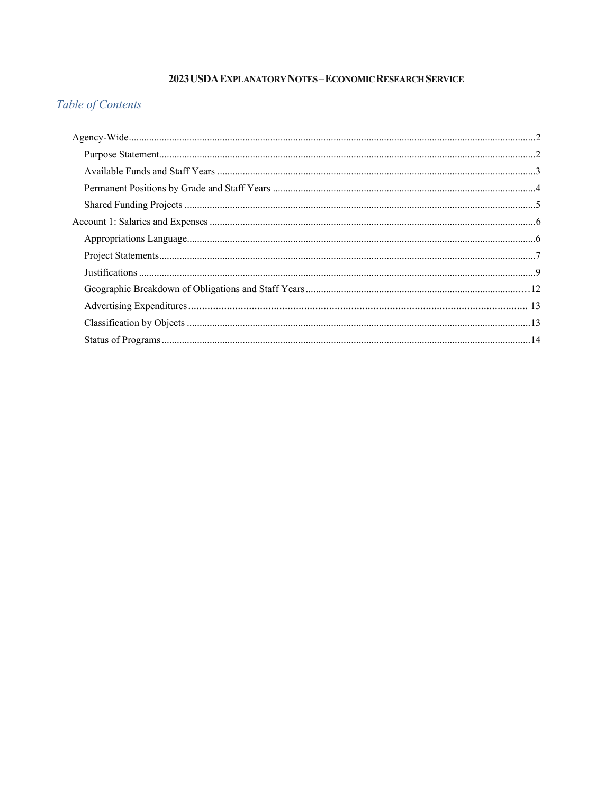# 2023 USDA EXPLANATORY NOTES-ECONOMIC RESEARCH SERVICE

# Table of Contents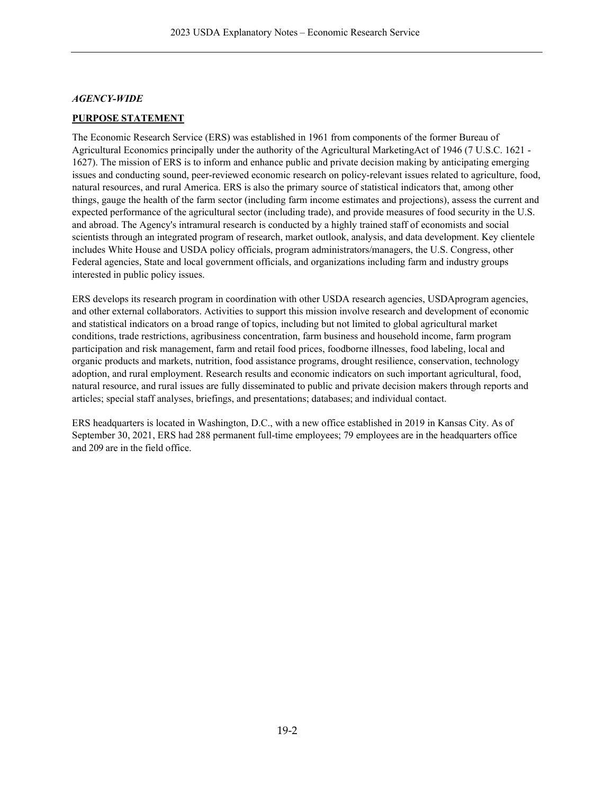### <span id="page-1-0"></span>*AGENCY-WIDE*

# <span id="page-1-1"></span>**PURPOSE STATEMENT**

The Economic Research Service (ERS) was established in 1961 from components of the former Bureau of Agricultural Economics principally under the authority of the Agricultural MarketingAct of 1946 (7 U.S.C. 1621 - 1627). The mission of ERS is to inform and enhance public and private decision making by anticipating emerging issues and conducting sound, peer-reviewed economic research on policy-relevant issues related to agriculture, food, natural resources, and rural America. ERS is also the primary source of statistical indicators that, among other things, gauge the health of the farm sector (including farm income estimates and projections), assess the current and expected performance of the agricultural sector (including trade), and provide measures of food security in the U.S. and abroad. The Agency's intramural research is conducted by a highly trained staff of economists and social scientists through an integrated program of research, market outlook, analysis, and data development. Key clientele includes White House and USDA policy officials, program administrators/managers, the U.S. Congress, other Federal agencies, State and local government officials, and organizations including farm and industry groups interested in public policy issues.

ERS develops its research program in coordination with other USDA research agencies, USDAprogram agencies, and other external collaborators. Activities to support this mission involve research and development of economic and statistical indicators on a broad range of topics, including but not limited to global agricultural market conditions, trade restrictions, agribusiness concentration, farm business and household income, farm program participation and risk management, farm and retail food prices, foodborne illnesses, food labeling, local and organic products and markets, nutrition, food assistance programs, drought resilience, conservation, technology adoption, and rural employment. Research results and economic indicators on such important agricultural, food, natural resource, and rural issues are fully disseminated to public and private decision makers through reports and articles; special staff analyses, briefings, and presentations; databases; and individual contact.

ERS headquarters is located in Washington, D.C., with a new office established in 2019 in Kansas City. As of September 30, 2021, ERS had 288 permanent full-time employees; 79 employees are in the headquarters office and 209 are in the field office.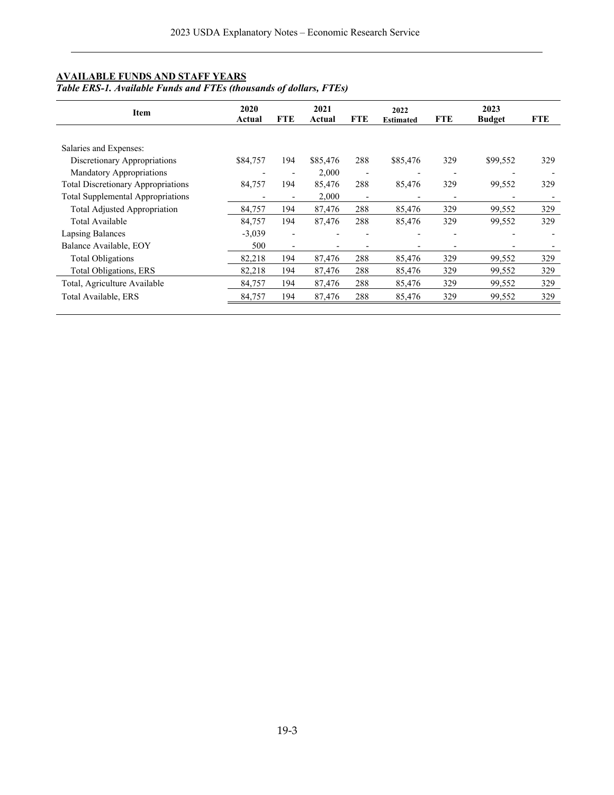### <span id="page-2-0"></span>**AVAILABLE FUNDS AND STAFF YEARS**

#### *Table ERS-1. Available Funds and FTEs (thousands of dollars, FTEs)*

| <b>Item</b>                               | 2020<br>Actual | <b>FTE</b> | 2021<br>Actual | <b>FTE</b>               | 2022<br><b>Estimated</b> | <b>FTE</b> | 2023<br><b>Budget</b> | <b>FTE</b> |
|-------------------------------------------|----------------|------------|----------------|--------------------------|--------------------------|------------|-----------------------|------------|
|                                           |                |            |                |                          |                          |            |                       |            |
| Salaries and Expenses:                    |                |            |                |                          |                          |            |                       |            |
| Discretionary Appropriations              | \$84,757       | 194        | \$85,476       | 288                      | \$85,476                 | 329        | \$99,552              | 329        |
| Mandatory Appropriations                  |                |            | 2,000          | $\overline{\phantom{0}}$ |                          |            |                       |            |
| <b>Total Discretionary Appropriations</b> | 84,757         | 194        | 85,476         | 288                      | 85,476                   | 329        | 99,552                | 329        |
| <b>Total Supplemental Appropriations</b>  |                |            | 2,000          | $\overline{a}$           |                          |            |                       |            |
| Total Adjusted Appropriation              | 84,757         | 194        | 87,476         | 288                      | 85,476                   | 329        | 99,552                | 329        |
| Total Available                           | 84,757         | 194        | 87,476         | 288                      | 85,476                   | 329        | 99,552                | 329        |
| Lapsing Balances                          | $-3,039$       |            |                |                          |                          |            |                       |            |
| Balance Available, EOY                    | 500            |            |                |                          |                          |            |                       |            |
| <b>Total Obligations</b>                  | 82,218         | 194        | 87,476         | 288                      | 85,476                   | 329        | 99,552                | 329        |
| Total Obligations, ERS                    | 82,218         | 194        | 87,476         | 288                      | 85,476                   | 329        | 99,552                | 329        |
| Total, Agriculture Available              | 84,757         | 194        | 87,476         | 288                      | 85,476                   | 329        | 99,552                | 329        |
| Total Available, ERS                      | 84,757         | 194        | 87,476         | 288                      | 85,476                   | 329        | 99,552                | 329        |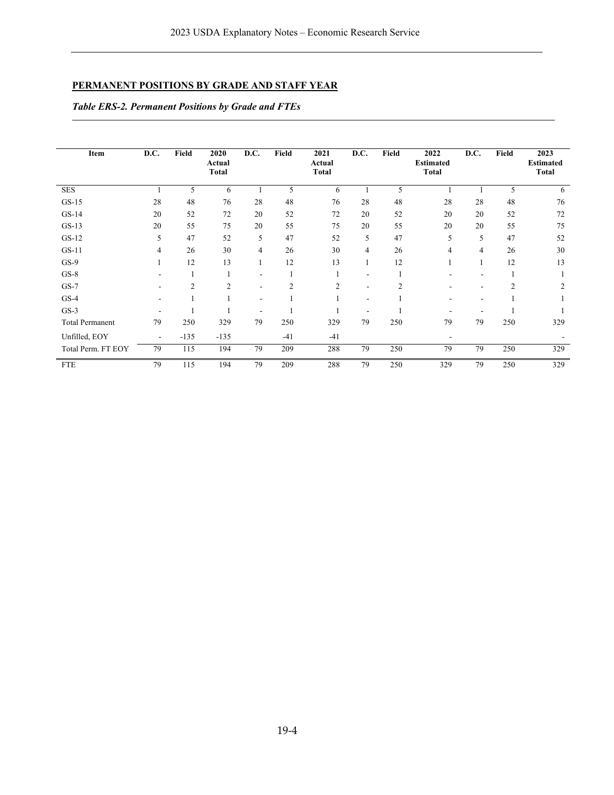# **PERMANENT POSITIONS BY GRADE AND STAFF YEAR**

*Table ERS-2. Permanent Positions by Grade and FTEs*

| Item                   | D.C. | Field          | 2020<br>Actual<br>Total | D.C.           | Field          | 2021<br>Actual<br><b>Total</b> | D.C. | Field          | 2022<br><b>Estimated</b><br><b>Total</b> | D.C.           | Field          | 2023<br><b>Estimated</b><br><b>Total</b> |
|------------------------|------|----------------|-------------------------|----------------|----------------|--------------------------------|------|----------------|------------------------------------------|----------------|----------------|------------------------------------------|
| <b>SES</b>             |      | 5              | 6                       |                | 5              | 6                              |      | 5              |                                          |                | 5              | 6                                        |
| $GS-15$                | 28   | 48             | 76                      | 28             | 48             | 76                             | 28   | 48             | 28                                       | 28             | 48             | 76                                       |
| $GS-14$                | 20   | 52             | 72                      | 20             | 52             | 72                             | 20   | 52             | 20                                       | 20             | 52             | 72                                       |
| $GS-13$                | 20   | 55             | 75                      | 20             | 55             | 75                             | 20   | 55             | 20                                       | 20             | 55             | 75                                       |
| $GS-12$                | 5    | 47             | 52                      | 5              | 47             | 52                             | 5    | 47             | 5                                        | 5              | 47             | 52                                       |
| $GS-11$                | 4    | 26             | 30                      | 4              | 26             | 30                             | 4    | 26             | 4                                        | $\overline{4}$ | 26             | 30                                       |
| $GS-9$                 |      | 12             | 13                      |                | 12             | 13                             | 1    | 12             |                                          |                | 12             | 13                                       |
| $GS-8$                 |      |                |                         | $\blacksquare$ |                |                                | ۰    |                | ۰                                        |                |                |                                          |
| $GS-7$                 |      | $\overline{2}$ | $\overline{2}$          | $\blacksquare$ | $\overline{2}$ | $\overline{2}$                 | ۰    | $\overline{2}$ | ۰                                        |                | $\overline{2}$ | $\overline{2}$                           |
| $GS-4$                 |      |                |                         | $\blacksquare$ |                |                                | ٠    |                | ۰                                        |                |                |                                          |
| $GS-3$                 |      |                |                         |                |                |                                | Ē,   |                |                                          |                |                |                                          |
| <b>Total Permanent</b> | 79   | 250            | 329                     | 79             | 250            | 329                            | 79   | 250            | 79                                       | 79             | 250            | 329                                      |
| Unfilled, EOY          | ٠    | $-135$         | $-135$                  |                | $-41$          | $-41$                          |      |                | $\overline{\phantom{a}}$                 |                |                |                                          |
| Total Perm. FT EOY     | 79   | 115            | 194                     | 79             | 209            | 288                            | 79   | 250            | 79                                       | 79             | 250            | 329                                      |
| <b>FTE</b>             | 79   | 115            | 194                     | 79             | 209            | 288                            | 79   | 250            | 329                                      | 79             | 250            | 329                                      |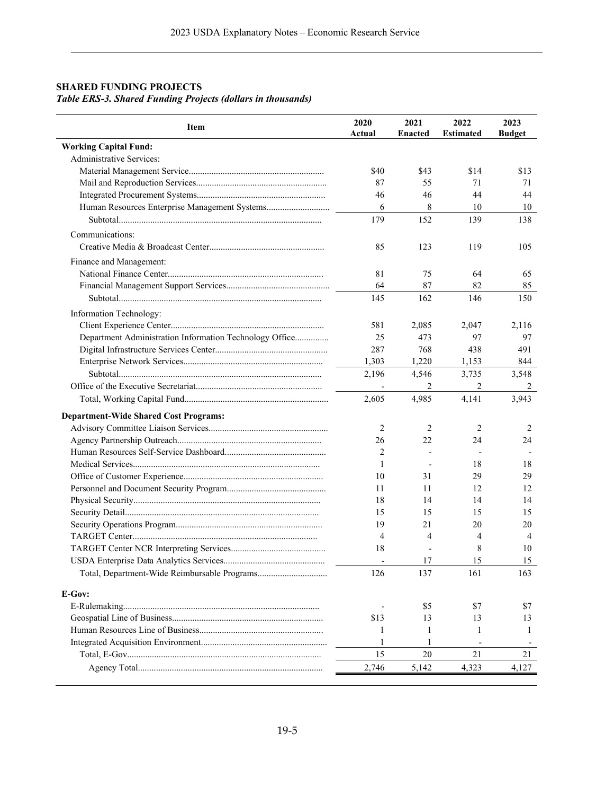# **SHARED FUNDING PROJECTS** *Table ERS-3. Shared Funding Projects (dollars in thousands)*

<span id="page-4-0"></span>

| Item                                                    | 2020<br>Actual | 2021<br><b>Enacted</b> | 2022<br><b>Estimated</b> | 2023<br><b>Budget</b> |
|---------------------------------------------------------|----------------|------------------------|--------------------------|-----------------------|
| <b>Working Capital Fund:</b>                            |                |                        |                          |                       |
| <b>Administrative Services:</b>                         |                |                        |                          |                       |
|                                                         | \$40           | \$43                   | \$14                     | \$13                  |
|                                                         | 87             | 55                     | 71                       | 71                    |
|                                                         | 46             | 46                     | 44                       | 44                    |
|                                                         | 6              | 8                      | 10                       | 10                    |
|                                                         | 179            | 152                    | 139                      | 138                   |
| Communications:                                         |                |                        |                          |                       |
|                                                         | 85             | 123                    | 119                      | 105                   |
|                                                         |                |                        |                          |                       |
| Finance and Management:                                 |                |                        |                          |                       |
|                                                         | 81             | 75                     | 64                       | 65                    |
|                                                         | 64             | 87                     | 82                       | 85                    |
|                                                         | 145            | 162                    | 146                      | 150                   |
| Information Technology:                                 |                |                        |                          |                       |
|                                                         | 581            | 2,085                  | 2,047                    | 2,116                 |
| Department Administration Information Technology Office | 25             | 473                    | 97                       | 97                    |
|                                                         | 287            | 768                    | 438                      | 491                   |
|                                                         | 1,303          | 1,220                  | 1,153                    | 844                   |
|                                                         | 2,196          | 4,546                  | 3,735                    | 3,548                 |
|                                                         |                | 2                      | 2                        | 2                     |
|                                                         | 2,605          | 4,985                  | 4,141                    | 3,943                 |
| <b>Department-Wide Shared Cost Programs:</b>            |                |                        |                          |                       |
|                                                         | $\overline{2}$ | 2                      | 2                        | 2                     |
|                                                         | 26             | 22                     | 24                       | 24                    |
|                                                         | 2              |                        |                          |                       |
|                                                         | 1              | $\overline{a}$         | 18                       | 18                    |
|                                                         | 10             | 31                     | 29                       | 29                    |
|                                                         | 11             | 11                     | 12                       | 12                    |
|                                                         | 18             | 14                     | 14                       | 14                    |
|                                                         | 15             | 15                     | 15                       | 15                    |
|                                                         | 19             | 21                     | 20                       | 20                    |
|                                                         | $\overline{4}$ | 4                      | 4                        | 4                     |
|                                                         | 18             |                        | 8                        | 10                    |
|                                                         |                | 17                     | 15                       | 15                    |
|                                                         | 126            | 137                    | 161                      | 163                   |
|                                                         |                |                        |                          |                       |
| E-Gov:                                                  |                |                        |                          |                       |
|                                                         |                | \$5                    | \$7                      | \$7                   |
|                                                         | \$13           | 13                     | 13                       | 13                    |
|                                                         | 1              | 1                      | -1                       | 1                     |
|                                                         | 1              | 1                      |                          |                       |
|                                                         | 15             | 20                     | 21                       | 21                    |
|                                                         | 2,746          | 5,142                  | 4,323                    | 4,127                 |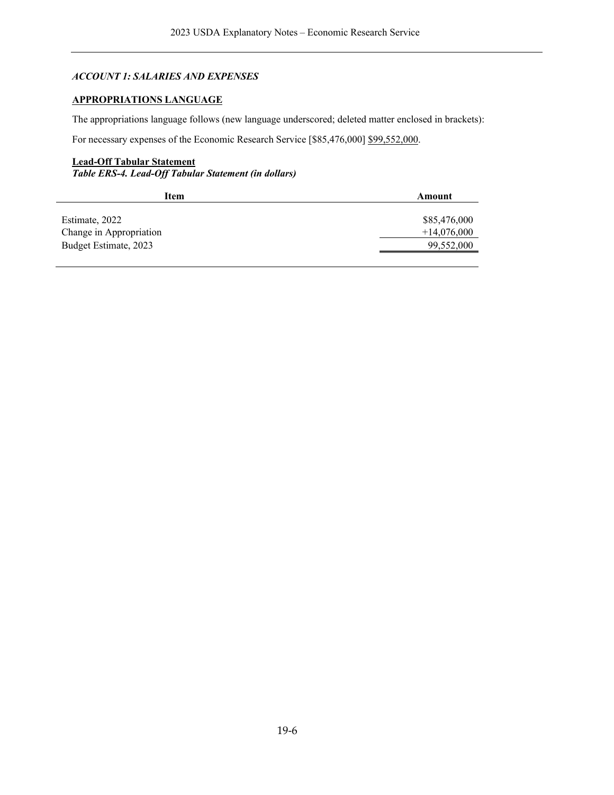# *ACCOUNT 1: SALARIES AND EXPENSES*

# <span id="page-5-0"></span>**APPROPRIATIONS LANGUAGE**

The appropriations language follows (new language underscored; deleted matter enclosed in brackets):

For necessary expenses of the Economic Research Service [\$85,476,000] \$99,552,000.

### **Lead-Off Tabular Statement**

*Table ERS-4. Lead-Off Tabular Statement (in dollars)*

| Item                    | Amount        |
|-------------------------|---------------|
|                         |               |
| Estimate, 2022          | \$85,476,000  |
| Change in Appropriation | $+14,076,000$ |
| Budget Estimate, 2023   | 99,552,000    |
|                         |               |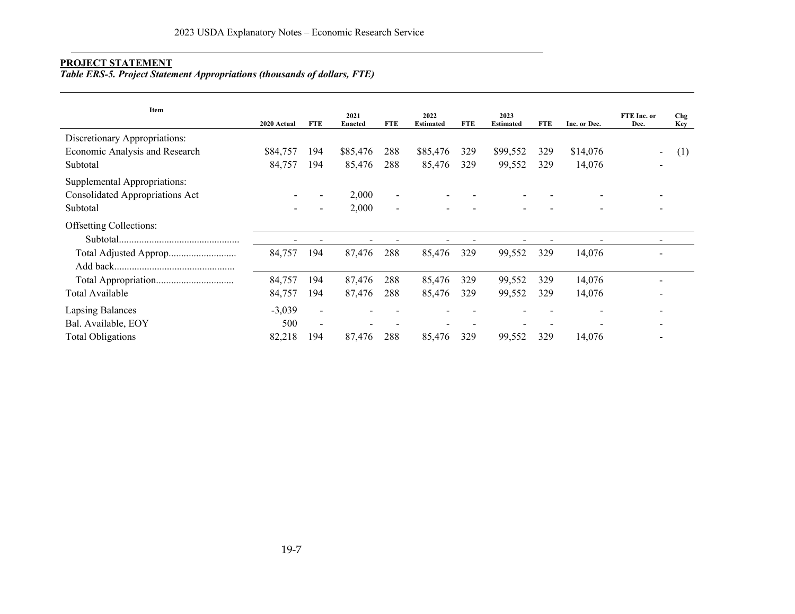# **PROJECT STATEMENT**

*Table ERS-5. Project Statement Appropriations (thousands of dollars, FTE)*

<span id="page-6-0"></span>

| Item                                   | 2020 Actual | <b>FTE</b>               | 2021<br><b>Enacted</b> | <b>FTE</b>               | 2022<br><b>Estimated</b> | <b>FTE</b> | 2023<br><b>Estimated</b> | <b>FTE</b> | Inc. or Dec. | FTE Inc. or<br>Dec. | Chg<br><b>Key</b> |
|----------------------------------------|-------------|--------------------------|------------------------|--------------------------|--------------------------|------------|--------------------------|------------|--------------|---------------------|-------------------|
| Discretionary Appropriations:          |             |                          |                        |                          |                          |            |                          |            |              |                     |                   |
| Economic Analysis and Research         | \$84,757    | 194                      | \$85,476               | 288                      | \$85,476                 | 329        | \$99,552                 | 329        | \$14,076     | $\blacksquare$      | (1)               |
| Subtotal                               | 84,757      | 194                      | 85,476                 | 288                      | 85,476                   | 329        | 99,552                   | 329        | 14,076       |                     |                   |
| Supplemental Appropriations:           |             |                          |                        |                          |                          |            |                          |            |              |                     |                   |
| <b>Consolidated Appropriations Act</b> |             |                          | 2,000                  | $\overline{\phantom{a}}$ |                          |            |                          |            |              |                     |                   |
| Subtotal                               |             |                          | 2,000                  | $\overline{\phantom{a}}$ |                          |            |                          |            |              |                     |                   |
| <b>Offsetting Collections:</b>         |             |                          |                        |                          |                          |            |                          |            |              |                     |                   |
|                                        |             |                          |                        |                          |                          |            |                          |            |              |                     |                   |
| Total Adjusted Approp                  | 84,757      | 194                      | 87,476                 | 288                      | 85,476                   | 329        | 99,552                   | 329        | 14,076       |                     |                   |
|                                        |             |                          |                        |                          |                          |            |                          |            |              |                     |                   |
|                                        | 84,757      | 194                      | 87,476                 | 288                      | 85,476                   | 329        | 99,552                   | 329        | 14,076       |                     |                   |
| Total Available                        | 84,757      | 194                      | 87,476                 | 288                      | 85,476                   | 329        | 99,552                   | 329        | 14,076       |                     |                   |
| <b>Lapsing Balances</b>                | $-3,039$    | $\overline{\phantom{a}}$ |                        |                          |                          |            |                          |            |              |                     |                   |
| Bal. Available, EOY                    | 500         | $\overline{\phantom{a}}$ |                        |                          |                          |            |                          |            |              |                     |                   |
| <b>Total Obligations</b>               | 82,218      | 194                      | 87,476                 | 288                      | 85,476                   | 329        | 99,552                   | 329        | 14,076       |                     |                   |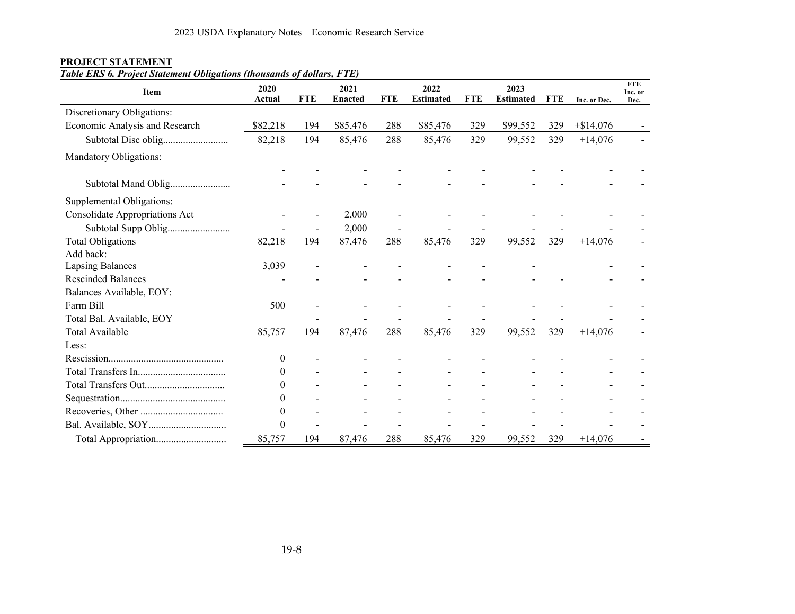| Item                           | 2020             |            | 2021           |            | 2022             |            | 2023             |            |              | <b>FTE</b><br>Inc. or |
|--------------------------------|------------------|------------|----------------|------------|------------------|------------|------------------|------------|--------------|-----------------------|
|                                | Actual           | <b>FTE</b> | <b>Enacted</b> | <b>FTE</b> | <b>Estimated</b> | <b>FTE</b> | <b>Estimated</b> | <b>FTE</b> | Inc. or Dec. | Dec.                  |
| Discretionary Obligations:     |                  |            |                |            |                  |            |                  |            |              |                       |
| Economic Analysis and Research | \$82,218         | 194        | \$85,476       | 288        | \$85,476         | 329        | \$99,552         | 329        | $+$ \$14,076 |                       |
|                                | 82,218           | 194        | 85,476         | 288        | 85,476           | 329        | 99,552           | 329        | $+14,076$    |                       |
| Mandatory Obligations:         |                  |            |                |            |                  |            |                  |            |              |                       |
|                                |                  |            |                |            |                  |            |                  |            |              |                       |
| Subtotal Mand Oblig            |                  |            |                |            |                  |            |                  |            |              |                       |
| Supplemental Obligations:      |                  |            |                |            |                  |            |                  |            |              |                       |
| Consolidate Appropriations Act |                  |            | 2,000          |            |                  |            |                  |            |              |                       |
|                                |                  |            | 2,000          |            |                  |            |                  |            |              |                       |
| <b>Total Obligations</b>       | 82,218           | 194        | 87,476         | 288        | 85,476           | 329        | 99,552           | 329        | $+14,076$    |                       |
| Add back:                      |                  |            |                |            |                  |            |                  |            |              |                       |
| <b>Lapsing Balances</b>        | 3,039            |            |                |            |                  |            |                  |            |              |                       |
| <b>Rescinded Balances</b>      |                  |            |                |            |                  |            |                  |            |              |                       |
| Balances Available, EOY:       |                  |            |                |            |                  |            |                  |            |              |                       |
| Farm Bill                      | 500              |            |                |            |                  |            |                  |            |              |                       |
| Total Bal. Available, EOY      |                  |            |                |            |                  |            |                  |            |              |                       |
| Total Available                | 85,757           | 194        | 87,476         | 288        | 85,476           | 329        | 99,552           | 329        | $+14,076$    |                       |
| Less:                          |                  |            |                |            |                  |            |                  |            |              |                       |
|                                | $\bf{0}$         |            |                |            |                  |            |                  |            |              |                       |
|                                | $\theta$         |            |                |            |                  |            |                  |            |              |                       |
|                                | 0                |            |                |            |                  |            |                  |            |              |                       |
|                                | $\theta$         |            |                |            |                  |            |                  |            |              |                       |
|                                | $\mathbf{0}$     |            |                |            |                  |            |                  |            |              |                       |
|                                | $\boldsymbol{0}$ |            |                |            |                  |            |                  |            |              |                       |
|                                | 85,757           | 194        | 87,476         | 288        | 85,476           | 329        | 99,552           | 329        | $+14,076$    |                       |

### **PROJECT STATEMENT**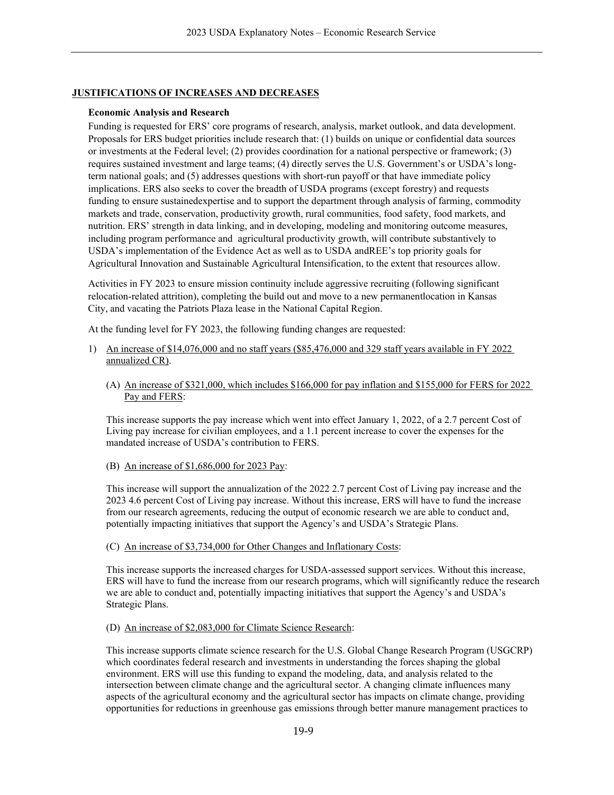# **JUSTIFICATIONS OF INCREASES AND DECREASES**

### **Economic Analysis and Research**

Funding is requested for ERS' core programs of research, analysis, market outlook, and data development. Proposals for ERS budget priorities include research that: (1) builds on unique or confidential data sources or investments at the Federal level; (2) provides coordination for a national perspective or framework; (3) requires sustained investment and large teams; (4) directly serves the U.S. Government's or USDA's longterm national goals; and (5) addresses questions with short-run payoff or that have immediate policy implications. ERS also seeks to cover the breadth of USDA programs (except forestry) and requests funding to ensure sustainedexpertise and to support the department through analysis of farming, commodity markets and trade, conservation, productivity growth, rural communities, food safety, food markets, and nutrition. ERS' strength in data linking, and in developing, modeling and monitoring outcome measures, including program performance and agricultural productivity growth, will contribute substantively to USDA's implementation of the Evidence Act as well as to USDA and REE's top priority goals for Agricultural Innovation and Sustainable Agricultural Intensification, to the extent that resources allow.

Activities in FY 2023 to ensure mission continuity include aggressive recruiting (following significant relocation-related attrition), completing the build out and move to a new permanentlocation in Kansas City, and vacating the Patriots Plaza lease in the National Capital Region.

At the funding level for FY 2023, the following funding changes are requested:

- 1) An increase of \$14,076,000 and no staff years (\$85,476,000 and 329 staff years available in FY 2022 annualized CR).
	- (A) An increase of \$321,000, which includes \$166,000 for pay inflation and \$155,000 for FERS for 2022 Pay and FERS:

This increase supports the pay increase which went into effect January 1, 2022, of a 2.7 percent Cost of Living pay increase for civilian employees, and a 1.1 percent increase to cover the expenses for the mandated increase of USDA's contribution to FERS.

### (B) An increase of \$1,686,000 for 2023 Pay:

This increase will support the annualization of the 2022 2.7 percent Cost of Living pay increase and the 2023 4.6 percent Cost of Living pay increase. Without this increase, ERS will have to fund the increase from our research agreements, reducing the output of economic research we are able to conduct and, potentially impacting initiatives that support the Agency's and USDA's Strategic Plans.

(C) An increase of \$3,734,000 for Other Changes and Inflationary Costs:

This increase supports the increased charges for USDA-assessed support services. Without this increase, ERS will have to fund the increase from our research programs, which will significantly reduce the research we are able to conduct and, potentially impacting initiatives that support the Agency's and USDA's Strategic Plans.

### (D) An increase of \$2,083,000 for Climate Science Research:

This increase supports climate science research for the U.S. Global Change Research Program (USGCRP) which coordinates federal research and investments in understanding the forces shaping the global environment. ERS will use this funding to expand the modeling, data, and analysis related to the intersection between climate change and the agricultural sector. A changing climate influences many aspects of the agricultural economy and the agricultural sector has impacts on climate change, providing opportunities for reductions in greenhouse gas emissions through better manure management practices to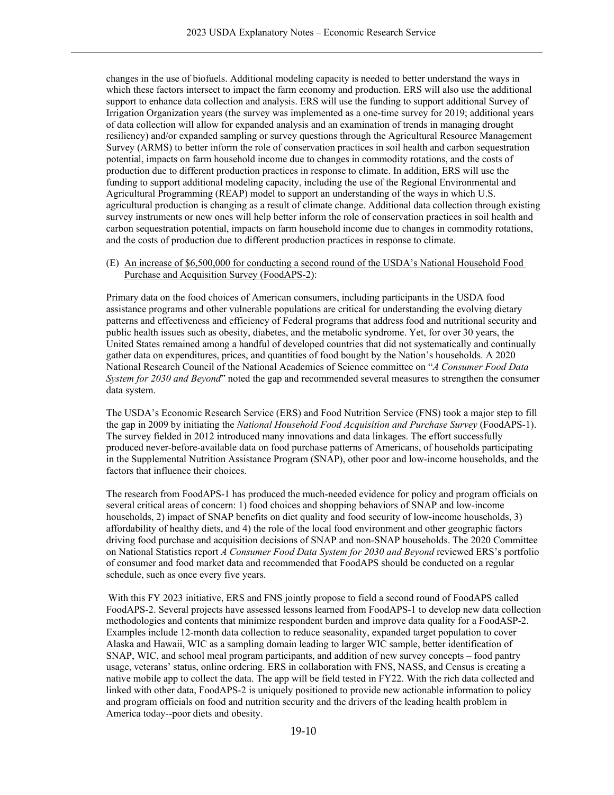changes in the use of biofuels. Additional modeling capacity is needed to better understand the ways in which these factors intersect to impact the farm economy and production. ERS will also use the additional support to enhance data collection and analysis. ERS will use the funding to support additional Survey of Irrigation Organization years (the survey was implemented as a one-time survey for 2019; additional years of data collection will allow for expanded analysis and an examination of trends in managing drought resiliency) and/or expanded sampling or survey questions through the Agricultural Resource Management Survey (ARMS) to better inform the role of conservation practices in soil health and carbon sequestration potential, impacts on farm household income due to changes in commodity rotations, and the costs of production due to different production practices in response to climate. In addition, ERS will use the funding to support additional modeling capacity, including the use of the Regional Environmental and Agricultural Programming (REAP) model to support an understanding of the ways in which U.S. agricultural production is changing as a result of climate change. Additional data collection through existing survey instruments or new ones will help better inform the role of conservation practices in soil health and carbon sequestration potential, impacts on farm household income due to changes in commodity rotations, and the costs of production due to different production practices in response to climate.

### (E) An increase of \$6,500,000 for conducting a second round of the USDA's National Household Food Purchase and Acquisition Survey (FoodAPS-2):

Primary data on the food choices of American consumers, including participants in the USDA food assistance programs and other vulnerable populations are critical for understanding the evolving dietary patterns and effectiveness and efficiency of Federal programs that address food and nutritional security and public health issues such as obesity, diabetes, and the metabolic syndrome. Yet, for over 30 years, the United States remained among a handful of developed countries that did not systematically and continually gather data on expenditures, prices, and quantities of food bought by the Nation's households. A 2020 National Research Council of the National Academies of Science committee on "*A Consumer Food Data System for 2030 and Beyond*" noted the gap and recommended several measures to strengthen the consumer data system.

The USDA's Economic Research Service (ERS) and Food Nutrition Service (FNS) took a major step to fill the gap in 2009 by initiating the *National Household Food Acquisition and Purchase Survey* (FoodAPS-1). The survey fielded in 2012 introduced many innovations and data linkages. The effort successfully produced never-before-available data on food purchase patterns of Americans, of households participating in the Supplemental Nutrition Assistance Program (SNAP), other poor and low-income households, and the factors that influence their choices.

The research from FoodAPS-1 has produced the much-needed evidence for policy and program officials on several critical areas of concern: 1) food choices and shopping behaviors of SNAP and low-income households, 2) impact of SNAP benefits on diet quality and food security of low-income households, 3) affordability of healthy diets, and 4) the role of the local food environment and other geographic factors driving food purchase and acquisition decisions of SNAP and non-SNAP households. The 2020 Committee on National Statistics report *A Consumer Food Data System for 2030 and Beyond* reviewed ERS's portfolio of consumer and food market data and recommended that FoodAPS should be conducted on a regular schedule, such as once every five years.

With this FY 2023 initiative, ERS and FNS jointly propose to field a second round of FoodAPS called FoodAPS-2. Several projects have assessed lessons learned from FoodAPS-1 to develop new data collection methodologies and contents that minimize respondent burden and improve data quality for a FoodASP-2. Examples include 12-month data collection to reduce seasonality, expanded target population to cover Alaska and Hawaii, WIC as a sampling domain leading to larger WIC sample, better identification of SNAP, WIC, and school meal program participants, and addition of new survey concepts – food pantry usage, veterans' status, online ordering. ERS in collaboration with FNS, NASS, and Census is creating a native mobile app to collect the data. The app will be field tested in FY22. With the rich data collected and linked with other data, FoodAPS-2 is uniquely positioned to provide new actionable information to policy and program officials on food and nutrition security and the drivers of the leading health problem in America today--poor diets and obesity.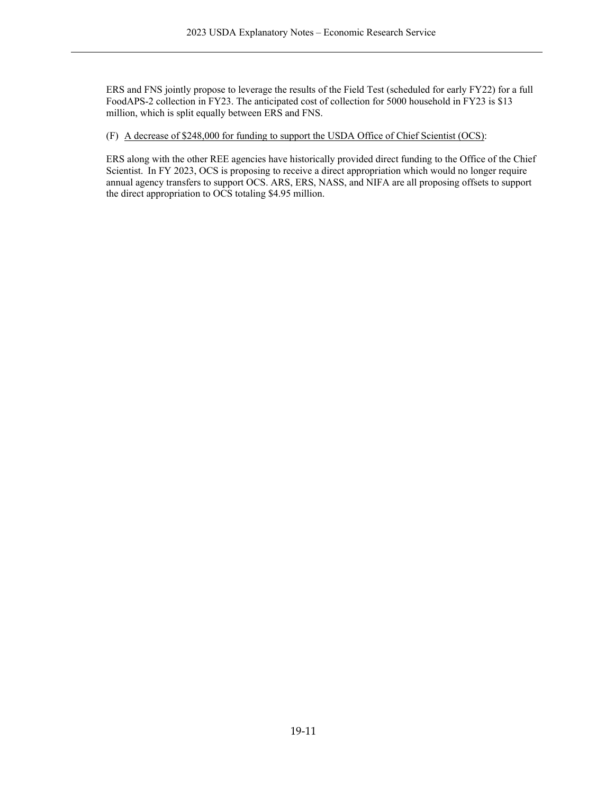ERS and FNS jointly propose to leverage the results of the Field Test (scheduled for early FY22) for a full FoodAPS-2 collection in FY23. The anticipated cost of collection for 5000 household in FY23 is \$13 million, which is split equally between ERS and FNS.

(F) A decrease of \$248,000 for funding to support the USDA Office of Chief Scientist (OCS):

ERS along with the other REE agencies have historically provided direct funding to the Office of the Chief Scientist.  In FY 2023, OCS is proposing to receive a direct appropriation which would no longer require annual agency transfers to support OCS. ARS, ERS, NASS, and NIFA are all proposing offsets to support the direct appropriation to OCS totaling \$4.95 million.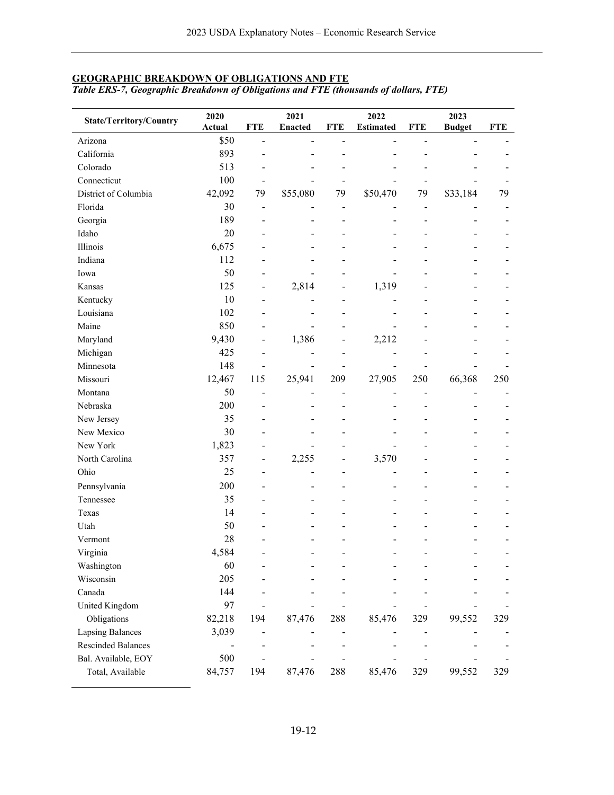# **GEOGRAPHIC BREAKDOWN OF OBLIGATIONS AND FTE**

*Table ERS-7, Geographic Breakdown of Obligations and FTE (thousands of dollars, FTE)*

| State/Territory/Country   | 2020<br><b>Actual</b>    | <b>FTE</b>                   | 2021<br><b>Enacted</b> | <b>FTE</b>               | 2022<br><b>Estimated</b> | <b>FTE</b>     | 2023<br><b>Budget</b> | <b>FTE</b> |
|---------------------------|--------------------------|------------------------------|------------------------|--------------------------|--------------------------|----------------|-----------------------|------------|
| Arizona                   | \$50                     |                              |                        |                          |                          |                |                       |            |
| California                | 893                      |                              |                        |                          |                          |                |                       |            |
| Colorado                  | 513                      |                              |                        |                          |                          |                |                       |            |
| Connecticut               | 100                      |                              |                        |                          |                          |                |                       |            |
| District of Columbia      | 42,092                   | 79                           | \$55,080               | 79                       | \$50,470                 | 79             | \$33,184              | 79         |
| Florida                   | 30                       | $\overline{\phantom{a}}$     |                        | $\overline{\phantom{0}}$ |                          | $\overline{a}$ |                       |            |
| Georgia                   | 189                      | $\overline{\phantom{a}}$     |                        | ۳                        |                          | $\overline{a}$ |                       |            |
| Idaho                     | 20                       |                              |                        |                          |                          |                |                       |            |
| Illinois                  | 6,675                    |                              |                        |                          |                          |                |                       |            |
| Indiana                   | 112                      |                              |                        |                          |                          |                |                       |            |
| Iowa                      | 50                       |                              |                        |                          |                          |                |                       |            |
| Kansas                    | 125                      | $\blacksquare$               | 2,814                  | ۳                        | 1,319                    |                |                       |            |
| Kentucky                  | 10                       | $\overline{\phantom{a}}$     |                        |                          |                          |                |                       |            |
| Louisiana                 | 102                      | ۰                            |                        |                          |                          |                |                       |            |
| Maine                     | 850                      |                              |                        |                          |                          |                |                       |            |
| Maryland                  | 9,430                    | $\qquad \qquad \blacksquare$ | 1,386                  |                          | 2,212                    |                |                       |            |
| Michigan                  | 425                      | $\overline{\phantom{a}}$     |                        |                          |                          |                |                       |            |
| Minnesota                 | 148                      |                              |                        |                          |                          |                |                       |            |
| Missouri                  | 12,467                   | 115                          | 25,941                 | 209                      | 27,905                   | 250            | 66,368                | 250        |
| Montana                   | 50                       | $\overline{\phantom{a}}$     | -                      | L,                       |                          | $\overline{a}$ | $\overline{a}$        |            |
| Nebraska                  | 200                      |                              |                        |                          |                          |                |                       |            |
| New Jersey                | 35                       | $\overline{a}$               |                        |                          |                          |                |                       |            |
| New Mexico                | 30                       |                              |                        |                          |                          |                |                       |            |
| New York                  | 1,823                    |                              |                        |                          |                          |                |                       |            |
| North Carolina            | 357                      | $\overline{\phantom{a}}$     | 2,255                  | -                        | 3,570                    |                |                       |            |
| Ohio                      | 25                       |                              |                        |                          |                          |                |                       |            |
| Pennsylvania              | 200                      |                              |                        |                          |                          |                |                       |            |
| Tennessee                 | 35                       |                              |                        |                          |                          |                |                       |            |
| Texas                     | 14                       |                              |                        |                          |                          |                |                       |            |
| Utah                      | 50                       |                              |                        |                          |                          |                |                       |            |
| Vermont                   | 28                       |                              |                        |                          |                          |                |                       |            |
| Virginia                  | 4,584                    |                              | -                      |                          | $\overline{\phantom{a}}$ |                |                       |            |
| Washington                | 60                       |                              |                        |                          |                          |                |                       |            |
| Wisconsin                 | 205                      |                              |                        |                          |                          |                |                       |            |
| Canada                    | 144                      |                              |                        |                          |                          |                |                       |            |
| United Kingdom            | 97                       |                              |                        |                          |                          |                |                       |            |
| Obligations               | 82,218                   | 194                          | 87,476                 | 288                      | 85,476                   | 329            | 99,552                | 329        |
| <b>Lapsing Balances</b>   | 3,039                    |                              |                        |                          |                          |                |                       |            |
| <b>Rescinded Balances</b> | $\overline{\phantom{0}}$ | $\overline{\phantom{a}}$     |                        |                          |                          |                |                       |            |
| Bal. Available, EOY       | 500                      |                              |                        |                          |                          |                |                       |            |
| Total, Available          | 84,757                   | 194                          | 87,476                 | 288                      | 85,476                   | 329            | 99,552                | 329        |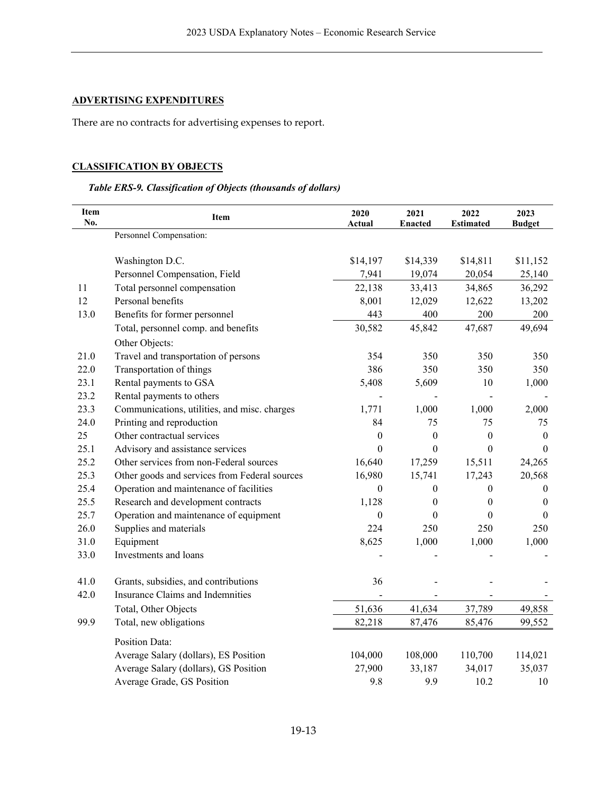# **ADVERTISING EXPENDITURES**

There are no contracts for advertising expenses to report.

# **CLASSIFICATION BY OBJECTS**

# *Table ERS-9. Classification of Objects (thousands of dollars)*

| <b>Item</b><br>No. | Item                                          | 2020<br>Actual   | 2021<br><b>Enacted</b> | 2022<br><b>Estimated</b> | 2023<br><b>Budget</b> |
|--------------------|-----------------------------------------------|------------------|------------------------|--------------------------|-----------------------|
|                    | Personnel Compensation:                       |                  |                        |                          |                       |
|                    | Washington D.C.                               | \$14,197         | \$14,339               | \$14,811                 | \$11,152              |
|                    | Personnel Compensation, Field                 | 7,941            | 19,074                 | 20,054                   | 25,140                |
| 11                 | Total personnel compensation                  | 22,138           | 33,413                 | 34,865                   | 36,292                |
| 12                 | Personal benefits                             | 8,001            | 12,029                 | 12,622                   | 13,202                |
| 13.0               | Benefits for former personnel                 | 443              | 400                    | 200                      | 200                   |
|                    | Total, personnel comp. and benefits           | 30,582           | 45,842                 | 47,687                   | 49,694                |
|                    | Other Objects:                                |                  |                        |                          |                       |
| 21.0               | Travel and transportation of persons          | 354              | 350                    | 350                      | 350                   |
| 22.0               | Transportation of things                      | 386              | 350                    | 350                      | 350                   |
| 23.1               | Rental payments to GSA                        | 5,408            | 5,609                  | 10                       | 1,000                 |
| 23.2               | Rental payments to others                     |                  |                        |                          |                       |
| 23.3               | Communications, utilities, and misc. charges  | 1,771            | 1,000                  | 1,000                    | 2,000                 |
| 24.0               | Printing and reproduction                     | 84               | 75                     | 75                       | 75                    |
| 25                 | Other contractual services                    | $\boldsymbol{0}$ | $\boldsymbol{0}$       | $\boldsymbol{0}$         | $\boldsymbol{0}$      |
| 25.1               | Advisory and assistance services              | $\boldsymbol{0}$ | $\boldsymbol{0}$       | $\boldsymbol{0}$         | $\boldsymbol{0}$      |
| 25.2               | Other services from non-Federal sources       | 16,640           | 17,259                 | 15,511                   | 24,265                |
| 25.3               | Other goods and services from Federal sources | 16,980           | 15,741                 | 17,243                   | 20,568                |
| 25.4               | Operation and maintenance of facilities       | $\boldsymbol{0}$ | 0                      | 0                        | 0                     |
| 25.5               | Research and development contracts            | 1,128            | 0                      | $\boldsymbol{0}$         | $\bf{0}$              |
| 25.7               | Operation and maintenance of equipment        | $\theta$         | $\theta$               | 0                        | $\theta$              |
| 26.0               | Supplies and materials                        | 224              | 250                    | 250                      | 250                   |
| 31.0               | Equipment                                     | 8,625            | 1,000                  | 1,000                    | 1,000                 |
| 33.0               | Investments and loans                         |                  |                        |                          |                       |
| 41.0               | Grants, subsidies, and contributions          | 36               |                        |                          |                       |
| 42.0               | Insurance Claims and Indemnities              |                  |                        |                          |                       |
|                    | Total, Other Objects                          | 51,636           | 41,634                 | 37,789                   | 49,858                |
| 99.9               | Total, new obligations                        | 82,218           | 87,476                 | 85,476                   | 99,552                |
|                    | <b>Position Data:</b>                         |                  |                        |                          |                       |
|                    | Average Salary (dollars), ES Position         | 104,000          | 108,000                | 110,700                  | 114,021               |
|                    | Average Salary (dollars), GS Position         | 27,900           | 33,187                 | 34,017                   | 35,037                |
|                    | Average Grade, GS Position                    | 9.8              | 9.9                    | 10.2                     | 10                    |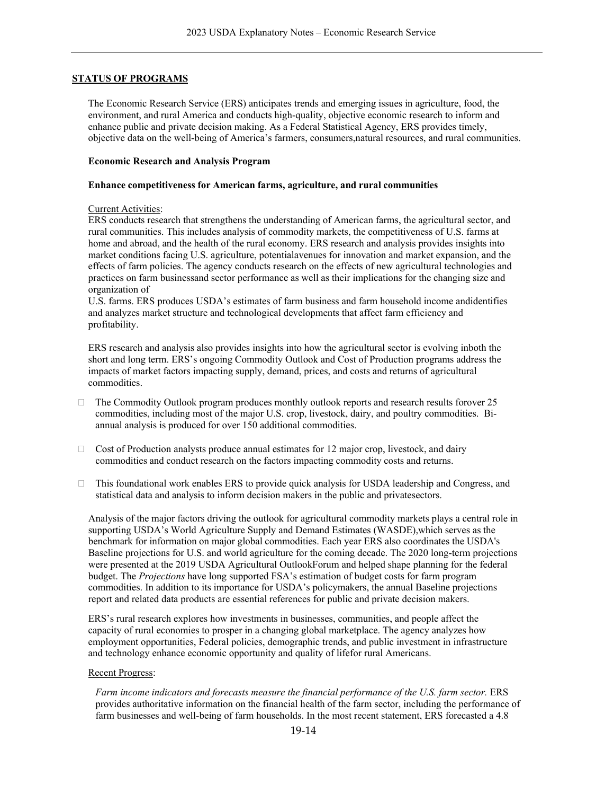### **STATUS OF PROGRAMS**

The Economic Research Service (ERS) anticipates trends and emerging issues in agriculture, food, the environment, and rural America and conducts high-quality, objective economic research to inform and enhance public and private decision making. As a Federal Statistical Agency, ERS provides timely, objective data on the well-being of America's farmers, consumers,natural resources, and rural communities.

### **Economic Research and Analysis Program**

### **Enhance competitiveness for American farms, agriculture, and rural communities**

#### Current Activities:

ERS conducts research that strengthens the understanding of American farms, the agricultural sector, and rural communities. This includes analysis of commodity markets, the competitiveness of U.S. farms at home and abroad, and the health of the rural economy. ERS research and analysis provides insights into market conditions facing U.S. agriculture, potentialavenues for innovation and market expansion, and the effects of farm policies. The agency conducts research on the effects of new agricultural technologies and practices on farm businessand sector performance as well as their implications for the changing size and organization of

U.S. farms. ERS produces USDA's estimates of farm business and farm household income andidentifies and analyzes market structure and technological developments that affect farm efficiency and profitability.

ERS research and analysis also provides insights into how the agricultural sector is evolving inboth the short and long term. ERS's ongoing Commodity Outlook and Cost of Production programs address the impacts of market factors impacting supply, demand, prices, and costs and returns of agricultural commodities.

- $\Box$  The Commodity Outlook program produces monthly outlook reports and research results forover 25 commodities, including most of the major U.S. crop, livestock, dairy, and poultry commodities. Biannual analysis is produced for over 150 additional commodities.
- $\Box$  Cost of Production analysts produce annual estimates for 12 major crop, livestock, and dairy commodities and conduct research on the factors impacting commodity costs and returns.
- $\Box$  This foundational work enables ERS to provide quick analysis for USDA leadership and Congress, and statistical data and analysis to inform decision makers in the public and private sectors.

Analysis of the major factors driving the outlook for agricultural commodity markets plays a central role in supporting USDA's World Agriculture Supply and Demand Estimates (WASDE),which serves as the benchmark for information on major global commodities. Each year ERS also coordinates the USDA's Baseline projections for U.S. and world agriculture for the coming decade. The 2020 long-term projections were presented at the 2019 USDA Agricultural OutlookForum and helped shape planning for the federal budget. The *Projections* have long supported FSA's estimation of budget costs for farm program commodities. In addition to its importance for USDA's policymakers, the annual Baseline projections report and related data products are essential references for public and private decision makers.

ERS's rural research explores how investments in businesses, communities, and people affect the capacity of rural economies to prosper in a changing global marketplace. The agency analyzes how employment opportunities, Federal policies, demographic trends, and public investment in infrastructure and technology enhance economic opportunity and quality of lifefor rural Americans.

### Recent Progress:

*Farm income indicators and forecasts measure the financial performance of the U.S. farm sector.* ERS provides authoritative information on the financial health of the farm sector, including the performance of farm businesses and well-being of farm households. In the most recent statement, ERS forecasted a 4.8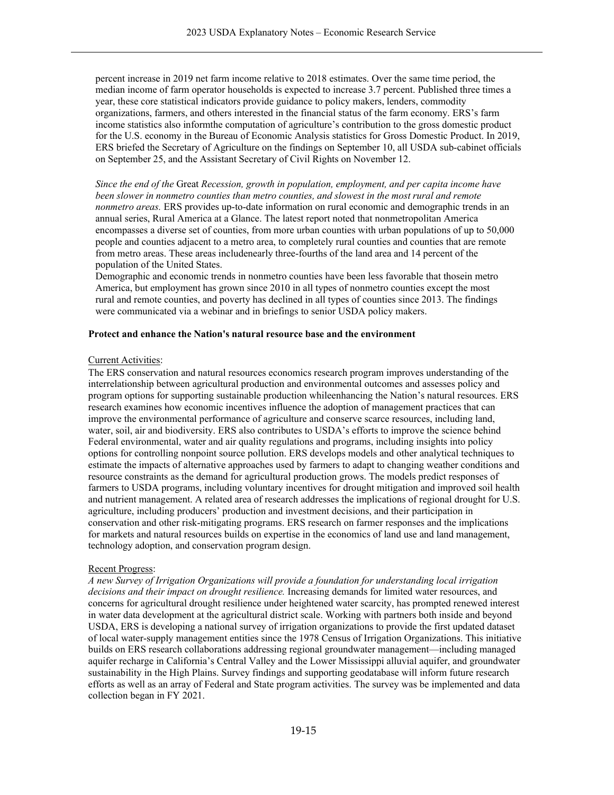percent increase in 2019 net farm income relative to 2018 estimates. Over the same time period, the median income of farm operator households is expected to increase 3.7 percent. Published three times a year, these core statistical indicators provide guidance to policy makers, lenders, commodity organizations, farmers, and others interested in the financial status of the farm economy. ERS's farm income statistics also informthe computation of agriculture's contribution to the gross domestic product for the U.S. economy in the Bureau of Economic Analysis statistics for Gross Domestic Product. In 2019, ERS briefed the Secretary of Agriculture on the findings on September 10, all USDA sub-cabinet officials on September 25, and the Assistant Secretary of Civil Rights on November 12.

*Since the end of the* Great *Recession, growth in population, employment, and per capita income have been slower in nonmetro counties than metro counties, and slowest in the most rural and remote nonmetro areas.* ERS provides up-to-date information on rural economic and demographic trends in an annual series, Rural America at a Glance. The latest report noted that nonmetropolitan America encompasses a diverse set of counties, from more urban counties with urban populations of up to 50,000 people and counties adjacent to a metro area, to completely rural counties and counties that are remote from metro areas. These areas includenearly three-fourths of the land area and 14 percent of the population of the United States.

Demographic and economic trends in nonmetro counties have been less favorable that thosein metro America, but employment has grown since 2010 in all types of nonmetro counties except the most rural and remote counties, and poverty has declined in all types of counties since 2013. The findings were communicated via a webinar and in briefings to senior USDA policy makers.

### **Protect and enhance the Nation's natural resource base and the environment**

#### Current Activities:

The ERS conservation and natural resources economics research program improves understanding of the interrelationship between agricultural production and environmental outcomes and assesses policy and program options for supporting sustainable production whileenhancing the Nation's natural resources. ERS research examines how economic incentives influence the adoption of management practices that can improve the environmental performance of agriculture and conserve scarce resources, including land, water, soil, air and biodiversity. ERS also contributes to USDA's efforts to improve the science behind Federal environmental, water and air quality regulations and programs, including insights into policy options for controlling nonpoint source pollution. ERS develops models and other analytical techniques to estimate the impacts of alternative approaches used by farmers to adapt to changing weather conditions and resource constraints as the demand for agricultural production grows. The models predict responses of farmers to USDA programs, including voluntary incentives for drought mitigation and improved soil health and nutrient management. A related area of research addresses the implications of regional drought for U.S. agriculture, including producers' production and investment decisions, and their participation in conservation and other risk-mitigating programs. ERS research on farmer responses and the implications for markets and natural resources builds on expertise in the economics of land use and land management, technology adoption, and conservation program design.

#### Recent Progress:

*A new Survey of Irrigation Organizations will provide a foundation for understanding local irrigation decisions and their impact on drought resilience.* Increasing demands for limited water resources, and concerns for agricultural drought resilience under heightened water scarcity, has prompted renewed interest in water data development at the agricultural district scale. Working with partners both inside and beyond USDA, ERS is developing a national survey of irrigation organizations to provide the first updated dataset of local water-supply management entities since the 1978 Census of Irrigation Organizations. This initiative builds on ERS research collaborations addressing regional groundwater management—including managed aquifer recharge in California's Central Valley and the Lower Mississippi alluvial aquifer, and groundwater sustainability in the High Plains. Survey findings and supporting geodatabase will inform future research efforts as well as an array of Federal and State program activities. The survey was be implemented and data collection began in FY 2021.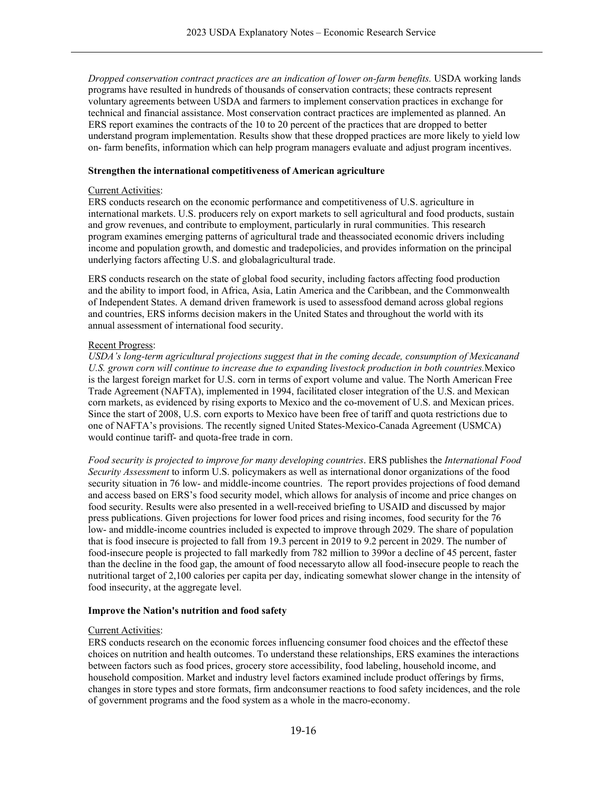*Dropped conservation contract practices are an indication of lower on-farm benefits.* USDA working lands programs have resulted in hundreds of thousands of conservation contracts; these contracts represent voluntary agreements between USDA and farmers to implement conservation practices in exchange for technical and financial assistance. Most conservation contract practices are implemented as planned. An ERS report examines the contracts of the 10 to 20 percent of the practices that are dropped to better understand program implementation. Results show that these dropped practices are more likely to yield low on- farm benefits, information which can help program managers evaluate and adjust program incentives.

### **Strengthen the international competitiveness of American agriculture**

### Current Activities:

ERS conducts research on the economic performance and competitiveness of U.S. agriculture in international markets. U.S. producers rely on export markets to sell agricultural and food products, sustain and grow revenues, and contribute to employment, particularly in rural communities. This research program examines emerging patterns of agricultural trade and theassociated economic drivers including income and population growth, and domestic and tradepolicies, and provides information on the principal underlying factors affecting U.S. and globalagricultural trade.

ERS conducts research on the state of global food security, including factors affecting food production and the ability to import food, in Africa, Asia, Latin America and the Caribbean, and the Commonwealth of Independent States. A demand driven framework is used to assessfood demand across global regions and countries, ERS informs decision makers in the United States and throughout the world with its annual assessment of international food security.

### Recent Progress:

*USDA's long-term agricultural projections suggest that in the coming decade, consumption of Mexicanand U.S. grown corn will continue to increase due to expanding livestock production in both countries.*Mexico is the largest foreign market for U.S. corn in terms of export volume and value. The North American Free Trade Agreement (NAFTA), implemented in 1994, facilitated closer integration of the U.S. and Mexican corn markets, as evidenced by rising exports to Mexico and the co-movement of U.S. and Mexican prices. Since the start of 2008, U.S. corn exports to Mexico have been free of tariff and quota restrictions due to one of NAFTA's provisions. The recently signed United States-Mexico-Canada Agreement (USMCA) would continue tariff- and quota-free trade in corn.

*Food security is projected to improve for many developing countries*. ERS publishes the *International Food Security Assessment* to inform U.S. policymakers as well as international donor organizations of the food security situation in 76 low- and middle-income countries. The report provides projections of food demand and access based on ERS's food security model, which allows for analysis of income and price changes on food security. Results were also presented in a well-received briefing to USAID and discussed by major press publications. Given projections for lower food prices and rising incomes, food security for the 76 low- and middle-income countries included is expected to improve through 2029. The share of population that is food insecure is projected to fall from 19.3 percent in 2019 to 9.2 percent in 2029. The number of food-insecure people is projected to fall markedly from 782 million to 399or a decline of 45 percent, faster than the decline in the food gap, the amount of food necessaryto allow all food-insecure people to reach the nutritional target of 2,100 calories per capita per day, indicating somewhat slower change in the intensity of food insecurity, at the aggregate level.

### **Improve the Nation's nutrition and food safety**

#### Current Activities:

ERS conducts research on the economic forces influencing consumer food choices and the effectof these choices on nutrition and health outcomes. To understand these relationships, ERS examines the interactions between factors such as food prices, grocery store accessibility, food labeling, household income, and household composition. Market and industry level factors examined include product offerings by firms, changes in store types and store formats, firm andconsumer reactions to food safety incidences, and the role of government programs and the food system as a whole in the macro-economy.